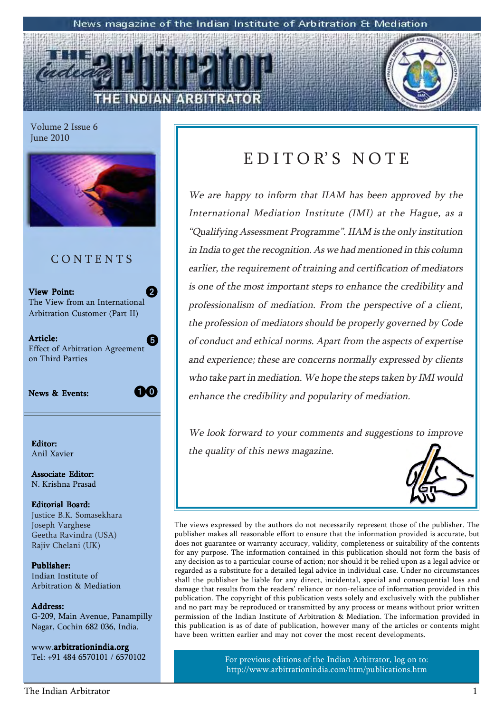#### News magazine of the Indian Institute of Arbitration & Mediation



Volume 2 Issue 6 June 2010



### **CONTENTS**

View Point: The View from an International Arbitration Customer (Part II)  $\bm{\Theta}$ 

Article: Effect of Arbitration Agreement on Third Parties  $\boldsymbol{\Theta}$ 

News & Events:

10

Editor: Anil Xavier

Associate Editor: N. Krishna Prasad

Editorial Board: Justice B.K. Somasekhara Joseph Varghese Geetha Ravindra (USA) Rajiv Chelani (UK)

Publisher: Indian Institute of Arbitration & Mediation

Address: Address: G-209, Main Avenue, Panampilly Nagar, Cochin 682 036, India.

www.arbitrationindia.org Tel: +91 484 6570101 / 6570102

### E D I T O R'S NOTE

We are happy to inform that IIAM has been approved by the International Mediation Institute (IMI) at the Hague, as a "Qualifying Assessment Programme". IIAM is the only institution in India to get the recognition. As we had mentioned in this column earlier, the requirement of training and certification of mediators is one of the most important steps to enhance the credibility and professionalism of mediation. From the perspective of a client, the profession of mediators should be properly governed by Code of conduct and ethical norms. Apart from the aspects of expertise and experience; these are concerns normally expressed by clients who take part in mediation. We hope the steps taken by IMI would enhance the credibility and popularity of mediation.

We look forward to your comments and suggestions to improve the quality of this news magazine.



The views expressed by the authors do not necessarily represent those of the publisher. The publisher makes all reasonable effort to ensure that the information provided is accurate, but does not guarantee or warranty accuracy, validity, completeness or suitability of the contents for any purpose. The information contained in this publication should not form the basis of any decision as to a particular course of action; nor should it be relied upon as a legal advice or regarded as a substitute for a detailed legal advice in individual case. Under no circumstances shall the publisher be liable for any direct, incidental, special and consequential loss and damage that results from the readers' reliance or non-reliance of information provided in this publication. The copyright of this publication vests solely and exclusively with the publisher and no part may be reproduced or transmitted by any process or means without prior written permission of the Indian Institute of Arbitration & Mediation. The information provided in this publication is as of date of publication, however many of the articles or contents might have been written earlier and may not cover the most recent developments.

> For previous editions of the Indian Arbitrator, log on to: http://www.arbitrationindia.com/htm/publications.htm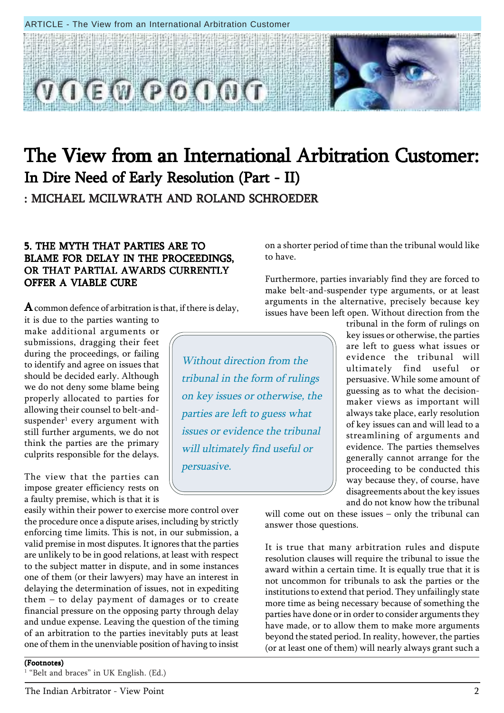#### ARTICLE - The View from an International Arbitration Customer



## The View from an International Arbitration Customer: In Dire Need of Early Resolution (Part - II)

: MICHAEL MCILWRATH AND ROLAND SCHROEDER

#### 5. THE MYTH THAT PARTIES ARE TO BLAME FOR DELAY IN THE PROCEEDINGS, OR THAT PARTIAL AWARDS CURRENTLY OFFER A VIABLE CURE

A common defence of arbitration is that, if there is delay,

it is due to the parties wanting to make additional arguments or submissions, dragging their feet during the proceedings, or failing to identify and agree on issues that should be decided early. Although we do not deny some blame being properly allocated to parties for allowing their counsel to belt-andsuspender $^{\rm l}$  every argument with still further arguments, we do not think the parties are the primary culprits responsible for the delays.

The view that the parties can impose greater efficiency rests on a faulty premise, which is that it is

easily within their power to exercise more control over the procedure once a dispute arises, including by strictly enforcing time limits. This is not, in our submission, a valid premise in most disputes. It ignores that the parties are unlikely to be in good relations, at least with respect to the subject matter in dispute, and in some instances one of them (or their lawyers) may have an interest in delaying the determination of issues, not in expediting  $them - to delay payment of damages or to create$ financial pressure on the opposing party through delay and undue expense. Leaving the question of the timing of an arbitration to the parties inevitably puts at least one of them in the unenviable position of having to insist

 $<sup>1</sup>$  "Belt and braces" in UK English. (Ed.)</sup>

Without direction from the tribunal in the form of rulings on key issues or otherwise, the parties are left to guess what issues or evidence the tribunal will ultimately find useful or persuasive.

on a shorter period of time than the tribunal would like to have.

Furthermore, parties invariably find they are forced to make belt-and-suspender type arguments, or at least arguments in the alternative, precisely because key issues have been left open. Without direction from the

tribunal in the form of rulings on key issues or otherwise, the parties are left to guess what issues or evidence the tribunal will ultimately find useful or persuasive. While some amount of guessing as to what the decisionmaker views as important will always take place, early resolution of key issues can and will lead to a streamlining of arguments and evidence. The parties themselves generally cannot arrange for the proceeding to be conducted this way because they, of course, have disagreements about the key issues and do not know how the tribunal

will come out on these issues  $-$  only the tribunal can answer those questions.

It is true that many arbitration rules and dispute resolution clauses will require the tribunal to issue the award within a certain time. It is equally true that it is not uncommon for tribunals to ask the parties or the institutions to extend that period. They unfailingly state more time as being necessary because of something the parties have done or in order to consider arguments they have made, or to allow them to make more arguments beyond the stated period. In reality, however, the parties (or at least one of them) will nearly always grant such a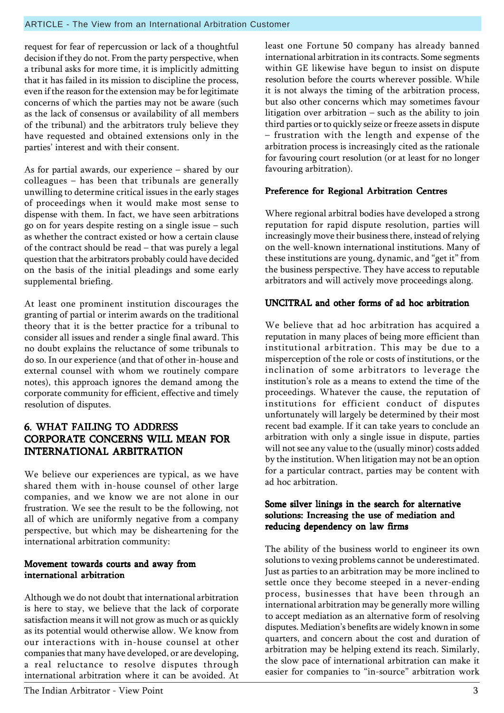request for fear of repercussion or lack of a thoughtful decision if they do not. From the party perspective, when a tribunal asks for more time, it is implicitly admitting that it has failed in its mission to discipline the process, even if the reason for the extension may be for legitimate concerns of which the parties may not be aware (such as the lack of consensus or availability of all members of the tribunal) and the arbitrators truly believe they have requested and obtained extensions only in the parties' interest and with their consent.

As for partial awards, our experience  $-$  shared by our colleagues  $-$  has been that tribunals are generally unwilling to determine critical issues in the early stages of proceedings when it would make most sense to dispense with them. In fact, we have seen arbitrations go on for years despite resting on a single issue  $-$  such as whether the contract existed or how a certain clause of the contract should be read  $-$  that was purely a legal question that the arbitrators probably could have decided on the basis of the initial pleadings and some early supplemental briefing.

At least one prominent institution discourages the granting of partial or interim awards on the traditional theory that it is the better practice for a tribunal to consider all issues and render a single final award. This no doubt explains the reluctance of some tribunals to do so. In our experience (and that of other in-house and external counsel with whom we routinely compare notes), this approach ignores the demand among the corporate community for efficient, effective and timely resolution of disputes.

#### 6. WHAT FAILING TO ADDRESS CORPORATE CONCERNS WILL MEAN FOR INTERNATIONAL ARBITRATION

We believe our experiences are typical, as we have shared them with in-house counsel of other large companies, and we know we are not alone in our frustration. We see the result to be the following, not all of which are uniformly negative from a company perspective, but which may be disheartening for the international arbitration community:

#### Movement towards courts and away from international arbitration

Although we do not doubt that international arbitration is here to stay, we believe that the lack of corporate satisfaction means it will not grow as much or as quickly as its potential would otherwise allow. We know from our interactions with in-house counsel at other companies that many have developed, or are developing, a real reluctance to resolve disputes through international arbitration where it can be avoided. At

least one Fortune 50 company has already banned international arbitration in its contracts. Some segments within GE likewise have begun to insist on dispute resolution before the courts wherever possible. While it is not always the timing of the arbitration process, but also other concerns which may sometimes favour litigation over arbitration  $-$  such as the ability to join third parties or to quickly seize or freeze assets in dispute - frustration with the length and expense of the arbitration process is increasingly cited as the rationale for favouring court resolution (or at least for no longer favouring arbitration).

#### Preference for Regional Arbitration Centres

Where regional arbitral bodies have developed a strong reputation for rapid dispute resolution, parties will increasingly move their business there, instead of relying on the well-known international institutions. Many of these institutions are young, dynamic, and "get it" from the business perspective. They have access to reputable arbitrators and will actively move proceedings along.

#### UNCITRAL and other forms of ad hoc arbitration

We believe that ad hoc arbitration has acquired a reputation in many places of being more efficient than institutional arbitration. This may be due to a misperception of the role or costs of institutions, or the inclination of some arbitrators to leverage the institution's role as a means to extend the time of the proceedings. Whatever the cause, the reputation of institutions for efficient conduct of disputes unfortunately will largely be determined by their most recent bad example. If it can take years to conclude an arbitration with only a single issue in dispute, parties will not see any value to the (usually minor) costs added by the institution. When litigation may not be an option for a particular contract, parties may be content with ad hoc arbitration.

#### Some silver linings in the search for alternative solutions: Increasing the use of mediation and reducing dependency on law firms

The ability of the business world to engineer its own solutions to vexing problems cannot be underestimated. Just as parties to an arbitration may be more inclined to settle once they become steeped in a never-ending process, businesses that have been through an international arbitration may be generally more willing to accept mediation as an alternative form of resolving disputes. Mediation's benefits are widely known in some quarters, and concern about the cost and duration of arbitration may be helping extend its reach. Similarly, the slow pace of international arbitration can make it easier for companies to "in-source" arbitration work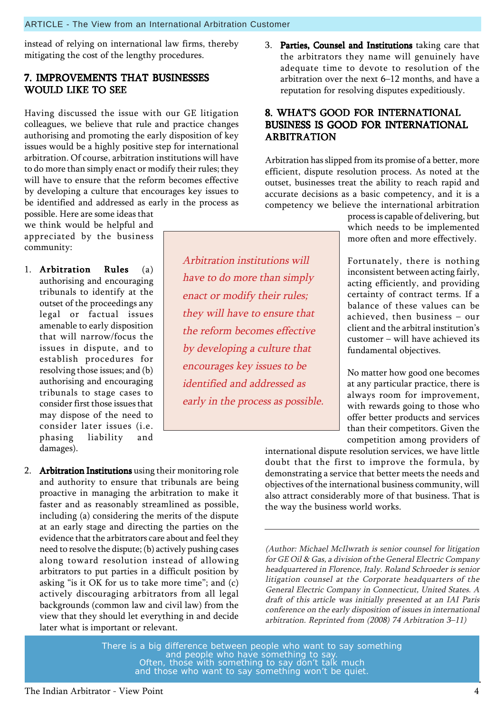instead of relying on international law firms, thereby mitigating the cost of the lengthy procedures.

#### 7. IMPROVEMENTS THAT BUSINESSES WOULD LIKE TO SEE

Having discussed the issue with our GE litigation colleagues, we believe that rule and practice changes authorising and promoting the early disposition of key issues would be a highly positive step for international arbitration. Of course, arbitration institutions will have to do more than simply enact or modify their rules; they will have to ensure that the reform becomes effective by developing a culture that encourages key issues to be identified and addressed as early in the process as

possible. Here are some ideas that we think would be helpful and appreciated by the business community:

1. Arbitration Rules  $(a)$ authorising and encouraging tribunals to identify at the outset of the proceedings any legal or factual issues amenable to early disposition that will narrow/focus the issues in dispute, and to establish procedures for resolving those issues; and (b) authorising and encouraging tribunals to stage cases to consider first those issues that may dispose of the need to consider later issues (i.e. phasing liability and damages).

Arbitration institutions will have to do more than simply enact or modify their rules; they will have to ensure that the reform becomes effective by developing a culture that encourages key issues to be identified and addressed as early in the process as possible.

3. Parties, Counsel and Institutions taking care that the arbitrators they name will genuinely have adequate time to devote to resolution of the arbitration over the next  $6-12$  months, and have a reputation for resolving disputes expeditiously.

#### 8. WHAT'S GOOD FOR INTERNATIONAL BUSINESS IS GOOD FOR INTERNATIONAL ARBITRATION

Arbitration has slipped from its promise of a better, more efficient, dispute resolution process. As noted at the outset, businesses treat the ability to reach rapid and accurate decisions as a basic competency, and it is a competency we believe the international arbitration

> process is capable of delivering, but which needs to be implemented more often and more effectively.

> Fortunately, there is nothing inconsistent between acting fairly, acting efficiently, and providing certainty of contract terms. If a balance of these values can be achieved, then business  $-$  our client and the arbitral institution's  $\text{customer} - \text{will have achieved its}$ fundamental objectives.

> No matter how good one becomes at any particular practice, there is always room for improvement, with rewards going to those who offer better products and services than their competitors. Given the competition among providers of

2. Arbitration Institutions using their monitoring role and authority to ensure that tribunals are being proactive in managing the arbitration to make it faster and as reasonably streamlined as possible, including (a) considering the merits of the dispute at an early stage and directing the parties on the evidence that the arbitrators care about and feel they need to resolve the dispute; (b) actively pushing cases along toward resolution instead of allowing arbitrators to put parties in a difficult position by asking "is it OK for us to take more time"; and  $(c)$ actively discouraging arbitrators from all legal backgrounds (common law and civil law) from the view that they should let everything in and decide later what is important or relevant.

international dispute resolution services, we have little doubt that the first to improve the formula, by demonstrating a service that better meets the needs and objectives of the international business community, will also attract considerably more of that business. That is the way the business world works.

(Author: Michael McIlwrath is senior counsel for litigation for GE Oil & Gas, a division of the General Electric Company headquartered in Florence, Italy. Roland Schroeder is senior litigation counsel at the Corporate headquarters of the General Electric Company in Connecticut, United States. A draft of this article was initially presented at an IAI Paris conference on the early disposition of issues in international arbitration. Reprinted from  $(2008)$  74 Arbitration 3-11)

There is a big difference between people who want to say something and people who have something to say. Often, those with something to say don't talk much and those who want to say something won't be quiet.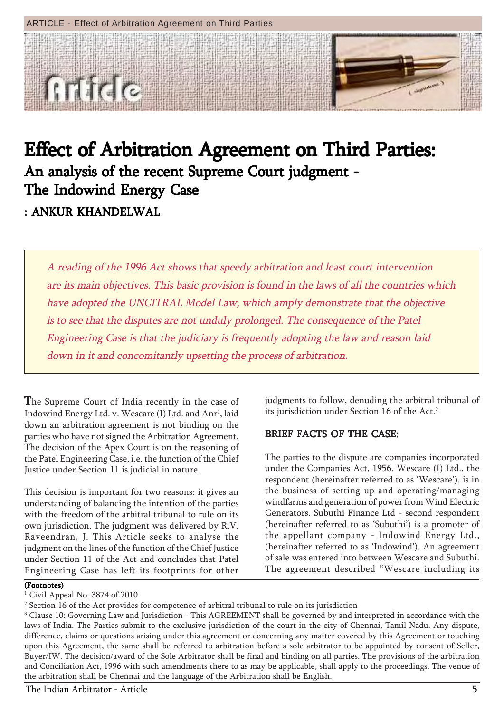

### Effect of Arbitration Agreement on Third Parties: An analysis of the recent Supreme Court judgment -The Indowind Energy Case

: ANKUR KHANDELWAL

A reading of the 1996 Act shows that speedy arbitration and least court intervention are its main objectives. This basic provision is found in the laws of all the countries which have adopted the UNCITRAL Model Law, which amply demonstrate that the objective is to see that the disputes are not unduly prolonged. The consequence of the Patel Engineering Case is that the judiciary is frequently adopting the law and reason laid down in it and concomitantly upsetting the process of arbitration.

The Supreme Court of India recently in the case of Indowind Energy Ltd. v. Wescare (I) Ltd. and Anr<sup>1</sup>, laid down an arbitration agreement is not binding on the parties who have not signed the Arbitration Agreement. The decision of the Apex Court is on the reasoning of the Patel Engineering Case, i.e. the function of the Chief Justice under Section 11 is judicial in nature.

This decision is important for two reasons: it gives an understanding of balancing the intention of the parties with the freedom of the arbitral tribunal to rule on its own jurisdiction. The judgment was delivered by R.V. Raveendran, J. This Article seeks to analyse the judgment on the lines of the function of the Chief Justice under Section 11 of the Act and concludes that Patel Engineering Case has left its footprints for other judgments to follow, denuding the arbitral tribunal of its jurisdiction under Section 16 of the Act.2

#### BRIEF FACTS OF THE CASE:

The parties to the dispute are companies incorporated under the Companies Act, 1956. Wescare (I) Ltd., the respondent (hereinafter referred to as 'Wescare'), is in the business of setting up and operating/managing windfarms and generation of power from Wind Electric Generators. Subuthi Finance Ltd - second respondent (hereinafter referred to as 'Subuthi') is a promoter of the appellant company - Indowind Energy Ltd., (hereinafter referred to as 'Indowind'). An agreement of sale was entered into between Wescare and Subuthi. The agreement described "Wescare including its

#### (Footnotes)

<sup>1</sup> Civil Appeal No. 3874 of 2010

<sup>2</sup> Section 16 of the Act provides for competence of arbitral tribunal to rule on its jurisdiction

<sup>3</sup> Clause 10: Governing Law and Jurisdiction - This AGREEMENT shall be governed by and interpreted in accordance with the laws of India. The Parties submit to the exclusive jurisdiction of the court in the city of Chennai, Tamil Nadu. Any dispute, difference, claims or questions arising under this agreement or concerning any matter covered by this Agreement or touching upon this Agreement, the same shall be referred to arbitration before a sole arbitrator to be appointed by consent of Seller, Buyer/IW. The decision/award of the Sole Arbitrator shall be final and binding on all parties. The provisions of the arbitration and Conciliation Act, 1996 with such amendments there to as may be applicable, shall apply to the proceedings. The venue of the arbitration shall be Chennai and the language of the Arbitration shall be English.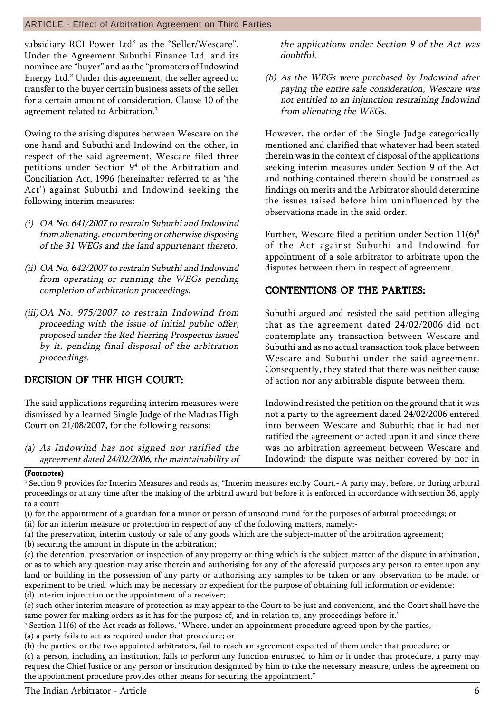#### ARTICLE - Effect of Arbitration Agreement on Third Parties

subsidiary RCI Power Ltd" as the "Seller/Wescare". Under the Agreement Subuthi Finance Ltd. and its nominee are "buyer" and as the "promoters of Indowind Energy Ltd." Under this agreement, the seller agreed to transfer to the buyer certain business assets of the seller for a certain amount of consideration. Clause 10 of the agreement related to Arbitration.3

Owing to the arising disputes between Wescare on the one hand and Subuthi and Indowind on the other, in respect of the said agreement, Wescare filed three petitions under Section 94 of the Arbitration and Conciliation Act, 1996 (hereinafter referred to as 'the Act') against Subuthi and Indowind seeking the following interim measures:

- (i) OA No. 641/2007 to restrain Subuthi and Indowind from alienating, encumbering or otherwise disposing of the 31 WEGs and the land appurtenant thereto.
- (ii) OA No. 642/2007 to restrain Subuthi and Indowind from operating or running the WEGs pending completion of arbitration proceedings.
- (iii)OA No. 975/2007 to restrain Indowind from proceeding with the issue of initial public offer, proposed under the Red Herring Prospectus issued by it, pending final disposal of the arbitration proceedings.

#### DECISION OF THE HIGH COURT:

The said applications regarding interim measures were dismissed by a learned Single Judge of the Madras High Court on 21/08/2007, for the following reasons:

(a) As Indowind has not signed nor ratified the agreement dated 24/02/2006, the maintainability of

#### (Footnotes)

<sup>4</sup> Section 9 provides for Interim Measures and reads as, "Interim measures etc.by Court.- A party may, before, or during arbitral proceedings or at any time after the making of the arbitral award but before it is enforced in accordance with section 36, apply to a court-

(i) for the appointment of a guardian for a minor or person of unsound mind for the purposes of arbitral proceedings; or (ii) for an interim measure or protection in respect of any of the following matters, namely:-

(a) the preservation, interim custody or sale of any goods which are the subject-matter of the arbitration agreement;

(b) securing the amount in dispute in the arbitration;

(c) the detention, preservation or inspection of any property or thing which is the subject-matter of the dispute in arbitration, or as to which any question may arise therein and authorising for any of the aforesaid purposes any person to enter upon any land or building in the possession of any party or authorising any samples to be taken or any observation to be made, or experiment to be tried, which may be necessary or expedient for the purpose of obtaining full information or evidence; (d) interim injunction or the appointment of a receiver;

(e) such other interim measure of protection as may appear to the Court to be just and convenient, and the Court shall have the same power for making orders as it has for the purpose of, and in relation to, any proceedings before it."

 $^5$  Section  $11(6)$  of the Act reads as follows, "Where, under an appointment procedure agreed upon by the parties,-

(a) a party fails to act as required under that procedure; or

(b) the parties, or the two appointed arbitrators, fail to reach an agreement expected of them under that procedure; or

(c) a person, including an institution, fails to perform any function entrusted to him or it under that procedure, a party may request the Chief Justice or any person or institution designated by him to take the necessary measure, unless the agreement on the appointment procedure provides other means for securing the appointment."

the applications under Section 9 of the Act was doubtful.

(b) As the WEGs were purchased by Indowind after paying the entire sale consideration, Wescare was not entitled to an injunction restraining Indowind from alienating the WEGs.

However, the order of the Single Judge categorically mentioned and clarified that whatever had been stated therein was in the context of disposal of the applications seeking interim measures under Section 9 of the Act and nothing contained therein should be construed as findings on merits and the Arbitrator should determine the issues raised before him uninfluenced by the observations made in the said order.

Further, Wescare filed a petition under Section 11(6)<sup>5</sup> of the Act against Subuthi and Indowind for appointment of a sole arbitrator to arbitrate upon the disputes between them in respect of agreement.

### CONTENTIONS OF THE PARTIES:

Subuthi argued and resisted the said petition alleging that as the agreement dated 24/02/2006 did not contemplate any transaction between Wescare and Subuthi and as no actual transaction took place between Wescare and Subuthi under the said agreement. Consequently, they stated that there was neither cause of action nor any arbitrable dispute between them.

Indowind resisted the petition on the ground that it was not a party to the agreement dated 24/02/2006 entered into between Wescare and Subuthi; that it had not ratified the agreement or acted upon it and since there was no arbitration agreement between Wescare and Indowind; the dispute was neither covered by nor in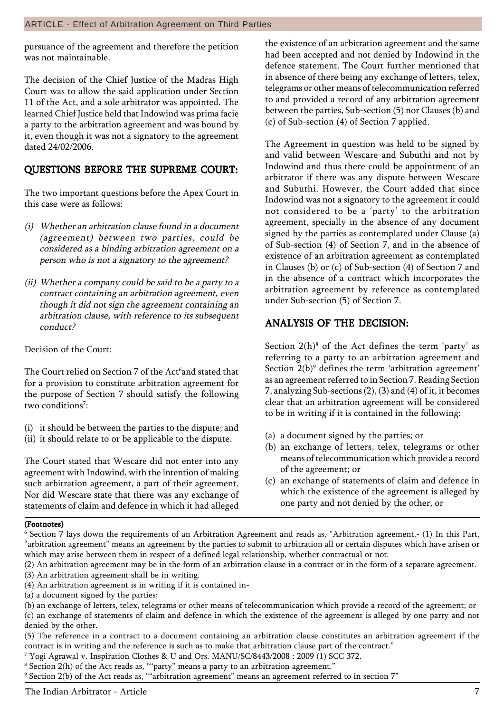pursuance of the agreement and therefore the petition was not maintainable.

The decision of the Chief Justice of the Madras High Court was to allow the said application under Section 11 of the Act, and a sole arbitrator was appointed. The learned Chief Justice held that Indowind was prima facie a party to the arbitration agreement and was bound by it, even though it was not a signatory to the agreement dated 24/02/2006.

#### QUESTIONS BEFORE THE SUPREME COURT:

The two important questions before the Apex Court in this case were as follows:

- (i) Whether an arbitration clause found in a document (agreement) between two parties, could be considered as a binding arbitration agreement on a person who is not a signatory to the agreement?
- (ii) Whether a company could be said to be a party to a contract containing an arbitration agreement, even though it did not sign the agreement containing an arbitration clause, with reference to its subsequent conduct?

Decision of the Court:

The Court relied on Section 7 of the Act<sup>6</sup>and stated that for a provision to constitute arbitration agreement for the purpose of Section 7 should satisfy the following two conditions<sup>7</sup>:

- (i) it should be between the parties to the dispute; and
- (ii) it should relate to or be applicable to the dispute.

The Court stated that Wescare did not enter into any agreement with Indowind, with the intention of making such arbitration agreement, a part of their agreement. Nor did Wescare state that there was any exchange of statements of claim and defence in which it had alleged

the existence of an arbitration agreement and the same had been accepted and not denied by Indowind in the defence statement. The Court further mentioned that in absence of there being any exchange of letters, telex, telegrams or other means of telecommunication referred to and provided a record of any arbitration agreement between the parties, Sub-section (5) nor Clauses (b) and (c) of Sub-section (4) of Section 7 applied.

The Agreement in question was held to be signed by and valid between Wescare and Subuthi and not by Indowind and thus there could be appointment of an arbitrator if there was any dispute between Wescare and Subuthi. However, the Court added that since Indowind was not a signatory to the agreement it could not considered to be a 'party' to the arbitration agreement, specially in the absence of any document signed by the parties as contemplated under Clause (a) of Sub-section (4) of Section 7, and in the absence of existence of an arbitration agreement as contemplated in Clauses (b) or (c) of Sub-section (4) of Section 7 and in the absence of a contract which incorporates the arbitration agreement by reference as contemplated under Sub-section (5) of Section 7.

#### ANALYSIS OF THE DECISION:

Section  $2(h)^8$  of the Act defines the term 'party' as referring to a party to an arbitration agreement and Section  $2(b)$ <sup>9</sup> defines the term 'arbitration agreement' as an agreement referred to in Section 7. Reading Section 7, analyzing Sub-sections (2), (3) and (4) of it, it becomes clear that an arbitration agreement will be considered to be in writing if it is contained in the following:

- (a) a document signed by the parties; or
- (b) an exchange of letters, telex, telegrams or other means of telecommunication which provide a record of the agreement; or
- (c) an exchange of statements of claim and defence in which the existence of the agreement is alleged by one party and not denied by the other, or

#### (Footnotes)

 $^6$  Section 7 lays down the requirements of an Arbitration Agreement and reads as, "Arbitration agreement.- (1) In this Part, "arbitration agreement" means an agreement by the parties to submit to arbitration all or certain disputes which have arisen or which may arise between them in respect of a defined legal relationship, whether contractual or not.

(2) An arbitration agreement may be in the form of an arbitration clause in a contract or in the form of a separate agreement. (3) An arbitration agreement shall be in writing.

- (4) An arbitration agreement is in writing if it is contained in-
- (a) a document signed by the parties;
- (b) an exchange of letters, telex, telegrams or other means of telecommunication which provide a record of the agreement; or

(c) an exchange of statements of claim and defence in which the existence of the agreement is alleged by one party and not denied by the other.

(5) The reference in a contract to a document containing an arbitration clause constitutes an arbitration agreement if the contract is in writing and the reference is such as to make that arbitration clause part of the contract."

- 7 Yogi Agrawal v. Inspiration Clothes & U and Ors. MANU/SC/8443/2008 : 2009 (1) SCC 372.
- $\rm{^8}$  Section 2(h) of the Act reads as, ""party" means a party to an arbitration agreement."

 $^9$  Section 2(b) of the Act reads as, ""arbitration agreement" means an agreement referred to in section  $7^\circ$ 

#### The Indian Arbitrator - Article 7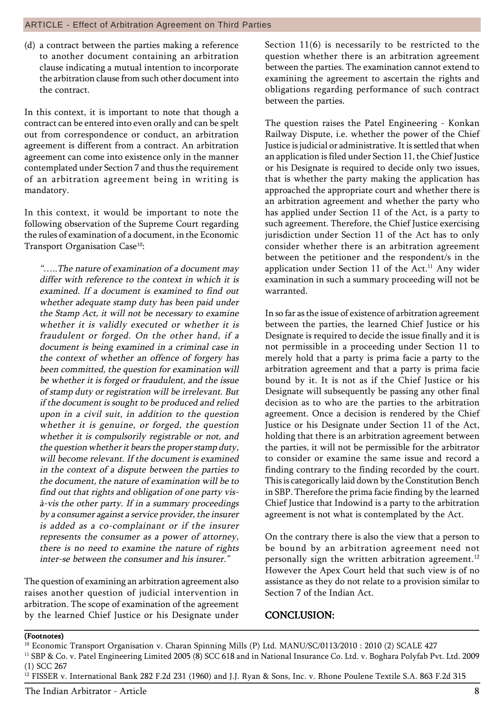(d) a contract between the parties making a reference to another document containing an arbitration clause indicating a mutual intention to incorporate the arbitration clause from such other document into the contract.

In this context, it is important to note that though a contract can be entered into even orally and can be spelt out from correspondence or conduct, an arbitration agreement is different from a contract. An arbitration agreement can come into existence only in the manner contemplated under Section 7 and thus the requirement of an arbitration agreement being in writing is mandatory.

In this context, it would be important to note the following observation of the Supreme Court regarding the rules of examination of a document, in the Economic Transport Organisation Case<sup>10</sup>:

".....The nature of examination of a document may differ with reference to the context in which it is examined. If a document is examined to find out whether adequate stamp duty has been paid under the Stamp Act, it will not be necessary to examine whether it is validly executed or whether it is fraudulent or forged. On the other hand, if a document is being examined in a criminal case in the context of whether an offence of forgery has been committed, the question for examination will be whether it is forged or fraudulent, and the issue of stamp duty or registration will be irrelevant. But if the document is sought to be produced and relied upon in a civil suit, in addition to the question whether it is genuine, or forged, the question whether it is compulsorily registrable or not, and the question whether it bears the proper stamp duty, will become relevant. If the document is examined in the context of a dispute between the parties to the document, the nature of examination will be to find out that rights and obligation of one party vis- ‡-vis the other party. If in a summary proceedings by a consumer against a service provider, the insurer is added as a co-complainant or if the insurer represents the consumer as a power of attorney, there is no need to examine the nature of rights inter-se between the consumer and his insurer."

The question of examining an arbitration agreement also raises another question of judicial intervention in arbitration. The scope of examination of the agreement by the learned Chief Justice or his Designate under Section 11(6) is necessarily to be restricted to the question whether there is an arbitration agreement between the parties. The examination cannot extend to examining the agreement to ascertain the rights and obligations regarding performance of such contract between the parties.

The question raises the Patel Engineering - Konkan Railway Dispute, i.e. whether the power of the Chief Justice is judicial or administrative. It is settled that when an application is filed under Section 11, the Chief Justice or his Designate is required to decide only two issues, that is whether the party making the application has approached the appropriate court and whether there is an arbitration agreement and whether the party who has applied under Section 11 of the Act, is a party to such agreement. Therefore, the Chief Justice exercising jurisdiction under Section 11 of the Act has to only consider whether there is an arbitration agreement between the petitioner and the respondent/s in the application under Section 11 of the Act.<sup>11</sup> Any wider examination in such a summary proceeding will not be warranted.

In so far as the issue of existence of arbitration agreement between the parties, the learned Chief Justice or his Designate is required to decide the issue finally and it is not permissible in a proceeding under Section 11 to merely hold that a party is prima facie a party to the arbitration agreement and that a party is prima facie bound by it. It is not as if the Chief Justice or his Designate will subsequently be passing any other final decision as to who are the parties to the arbitration agreement. Once a decision is rendered by the Chief Justice or his Designate under Section 11 of the Act, holding that there is an arbitration agreement between the parties, it will not be permissible for the arbitrator to consider or examine the same issue and record a finding contrary to the finding recorded by the court. This is categorically laid down by the Constitution Bench in SBP. Therefore the prima facie finding by the learned Chief Justice that Indowind is a party to the arbitration agreement is not what is contemplated by the Act.

On the contrary there is also the view that a person to be bound by an arbitration agreement need not personally sign the written arbitration agreement.<sup>12</sup> However the Apex Court held that such view is of no assistance as they do not relate to a provision similar to Section 7 of the Indian Act.

#### CONCLUSION: CONCLUSION:

#### (Footnotes)

<sup>&</sup>lt;sup>10</sup> Economic Transport Organisation v. Charan Spinning Mills (P) Ltd. MANU/SC/0113/2010 : 2010 (2) SCALE 427 <sup>11</sup> SBP & Co. v. Patel Engineering Limited 2005 (8) SCC 618 and in National Insurance Co. Ltd. v. Boghara Polyfab Pvt. Ltd. 2009 (1) SCC 267

<sup>12</sup> FISSER v. International Bank 282 F.2d 231 (1960) and J.J. Ryan & Sons, Inc. v. Rhone Poulene Textile S.A. 863 F.2d 315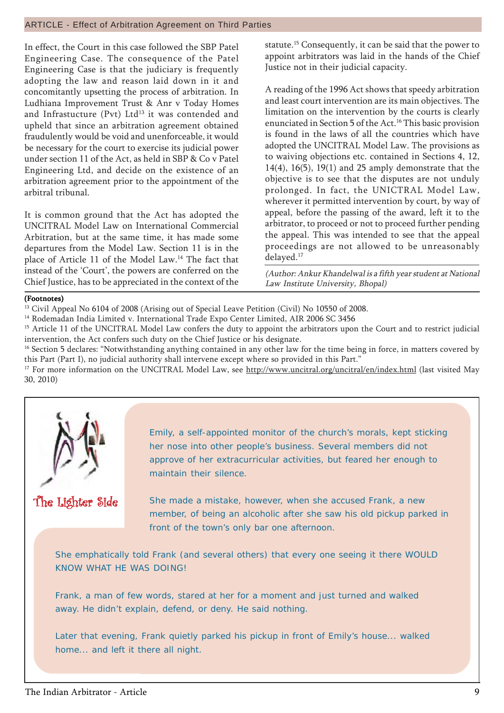#### ARTICLE - Effect of Arbitration Agreement on Third Parties

In effect, the Court in this case followed the SBP Patel Engineering Case. The consequence of the Patel Engineering Case is that the judiciary is frequently adopting the law and reason laid down in it and concomitantly upsetting the process of arbitration. In Ludhiana Improvement Trust & Anr v Today Homes and Infrastucture (Pvt) Ltd $^{13}$  it was contended and upheld that since an arbitration agreement obtained fraudulently would be void and unenforceable, it would be necessary for the court to exercise its judicial power under section 11 of the Act, as held in SBP & Co v Patel Engineering Ltd, and decide on the existence of an arbitration agreement prior to the appointment of the arbitral tribunal.

It is common ground that the Act has adopted the UNCITRAL Model Law on International Commercial Arbitration, but at the same time, it has made some departures from the Model Law. Section 11 is in the place of Article 11 of the Model Law.<sup>14</sup> The fact that instead of the 'Court', the powers are conferred on the Chief Justice, has to be appreciated in the context of the

statute.15 Consequently, it can be said that the power to appoint arbitrators was laid in the hands of the Chief Justice not in their judicial capacity.

A reading of the 1996 Act shows that speedy arbitration and least court intervention are its main objectives. The limitation on the intervention by the courts is clearly enunciated in Section 5 of the Act.<sup>16</sup> This basic provision is found in the laws of all the countries which have adopted the UNCITRAL Model Law. The provisions as to waiving objections etc. contained in Sections 4, 12, 14(4), 16(5), 19(1) and 25 amply demonstrate that the objective is to see that the disputes are not unduly prolonged. In fact, the UNICTRAL Model Law, wherever it permitted intervention by court, by way of appeal, before the passing of the award, left it to the arbitrator, to proceed or not to proceed further pending the appeal. This was intended to see that the appeal proceedings are not allowed to be unreasonably delayed.17

(Author: Ankur Khandelwal is a fifth year student at National Law Institute University, Bhopal)

#### (Footnotes)

<sup>13</sup> Civil Appeal No 6104 of 2008 (Arising out of Special Leave Petition (Civil) No 10550 of 2008.

14 Rodemadan India Limited v. International Trade Expo Center Limited, AIR 2006 SC 3456

<sup>15</sup> Article 11 of the UNCITRAL Model Law confers the duty to appoint the arbitrators upon the Court and to restrict judicial intervention, the Act confers such duty on the Chief Justice or his designate.

 $16$  Section 5 declares: "Notwithstanding anything contained in any other law for the time being in force, in matters covered by this Part (Part I), no judicial authority shall intervene except where so provided in this Part."

<sup>17</sup> For more information on the UNCITRAL Model Law, see http://www.uncitral.org/uncitral/en/index.html (last visited May 30, 2010)



Emily, a self-appointed monitor of the church's morals, kept sticking her nose into other people's business. Several members did not approve of her extracurricular activities, but feared her enough to maintain their silence.

The Lighter Side

She made a mistake, however, when she accused Frank, a new member, of being an alcoholic after she saw his old pickup parked in front of the town's only bar one afternoon.

She emphatically told Frank (and several others) that every one seeing it there WOULD KNOW WHAT HE WAS DOING!

Frank, a man of few words, stared at her for a moment and just turned and walked away. He didn't explain, defend, or deny. He said nothing.

Later that evening, Frank quietly parked his pickup in front of Emily's house... walked home... and left it there all night.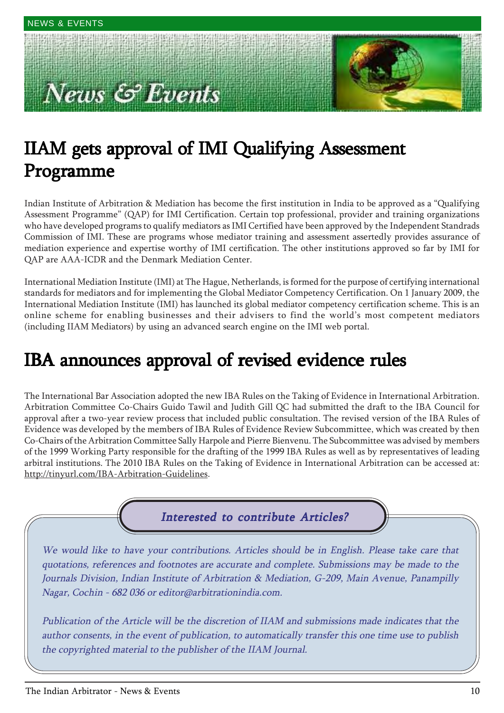# ews & Events



## IIAM gets approval of IMI Qualifying Assessment Programme

Indian Institute of Arbitration & Mediation has become the first institution in India to be approved as a "Qualifying" Assessment Programme" (QAP) for IMI Certification. Certain top professional, provider and training organizations who have developed programs to qualify mediators as IMI Certified have been approved by the Independent Standrads Commission of IMI. These are programs whose mediator training and assessment assertedly provides assurance of mediation experience and expertise worthy of IMI certification. The other institutions approved so far by IMI for QAP are AAA-ICDR and the Denmark Mediation Center.

International Mediation Institute (IMI) at The Hague, Netherlands, is formed for the purpose of certifying international standards for mediators and for implementing the Global Mediator Competency Certification. On 1 January 2009, the International Mediation Institute (IMI) has launched its global mediator competency certification scheme. This is an online scheme for enabling businesses and their advisers to find the world's most competent mediators (including IIAM Mediators) by using an advanced search engine on the IMI web portal.

### IBA announces approval of revised evidence rules

The International Bar Association adopted the new IBA Rules on the Taking of Evidence in International Arbitration. Arbitration Committee Co-Chairs Guido Tawil and Judith Gill QC had submitted the draft to the IBA Council for approval after a two-year review process that included public consultation. The revised version of the IBA Rules of Evidence was developed by the members of IBA Rules of Evidence Review Subcommittee, which was created by then Co-Chairs of the Arbitration Committee Sally Harpole and Pierre Bienvenu. The Subcommittee was advised by members of the 1999 Working Party responsible for the drafting of the 1999 IBA Rules as well as by representatives of leading arbitral institutions. The 2010 IBA Rules on the Taking of Evidence in International Arbitration can be accessed at: http://tinyurl.com/IBA-Arbitration-Guidelines.

Interested to contribute Articles?

We would like to have your contributions. Articles should be in English. Please take care that quotations, references and footnotes are accurate and complete. Submissions may be made to the Journals Division, Indian Institute of Arbitration & Mediation, G-209, Main Avenue, Panampilly Nagar, Cochin - 682 036 or editor@arbitrationindia.com.

Publication of the Article will be the discretion of IIAM and submissions made indicates that the author consents, in the event of publication, to automatically transfer this one time use to publish the copyrighted material to the publisher of the IIAM Journal.